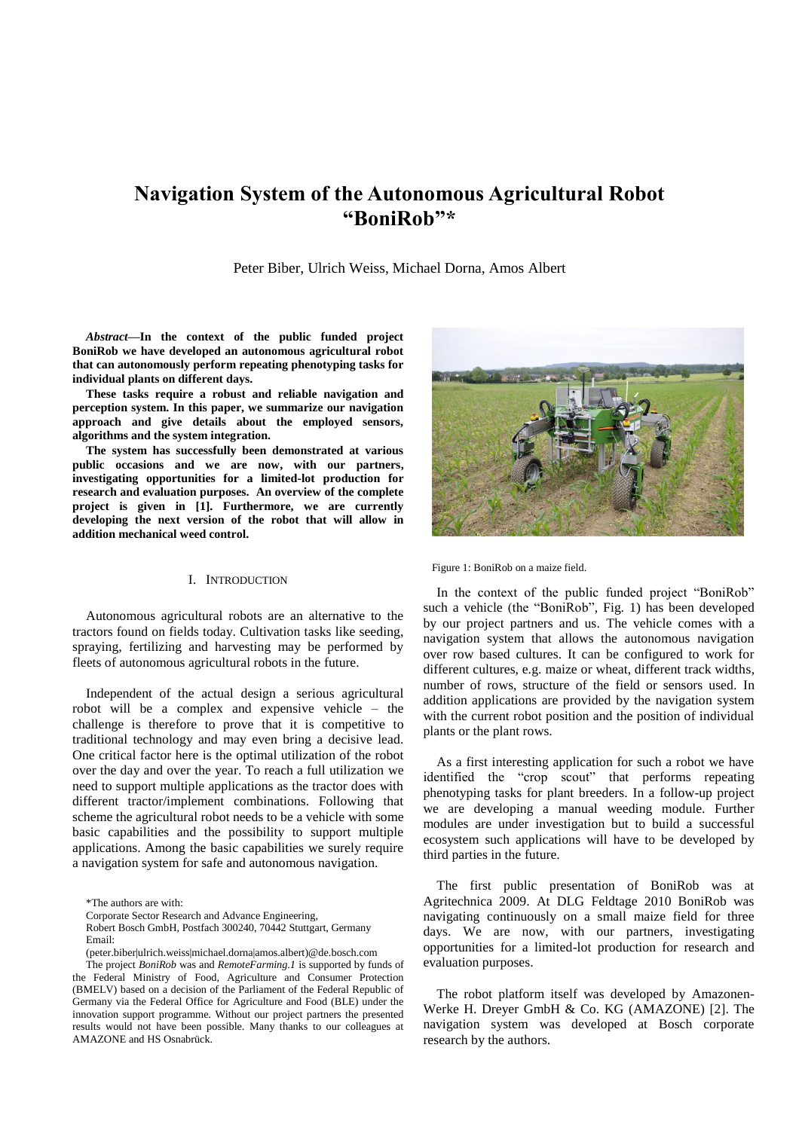# **Navigation System of the Autonomous Agricultural Robot "BoniRob"\***

Peter Biber, Ulrich Weiss, Michael Dorna, Amos Albert

*Abstract***—In the context of the public funded project BoniRob we have developed an autonomous agricultural robot that can autonomously perform repeating phenotyping tasks for individual plants on different days.**

**These tasks require a robust and reliable navigation and perception system. In this paper, we summarize our navigation approach and give details about the employed sensors, algorithms and the system integration.** 

**The system has successfully been demonstrated at various public occasions and we are now, with our partners, investigating opportunities for a limited-lot production for research and evaluation purposes. An overview of the complete project is given in [\[1\].](#page-6-0) Furthermore, we are currently developing the next version of the robot that will allow in addition mechanical weed control.** 

# I. INTRODUCTION

Autonomous agricultural robots are an alternative to the tractors found on fields today. Cultivation tasks like seeding, spraying, fertilizing and harvesting may be performed by fleets of autonomous agricultural robots in the future.

Independent of the actual design a serious agricultural robot will be a complex and expensive vehicle – the challenge is therefore to prove that it is competitive to traditional technology and may even bring a decisive lead. One critical factor here is the optimal utilization of the robot over the day and over the year. To reach a full utilization we need to support multiple applications as the tractor does with different tractor/implement combinations. Following that scheme the agricultural robot needs to be a vehicle with some basic capabilities and the possibility to support multiple applications. Among the basic capabilities we surely require a navigation system for safe and autonomous navigation.



Figure 1: BoniRob on a maize field.

In the context of the public funded project "BoniRob" such a vehicle (the "BoniRob", Fig. 1) has been developed by our project partners and us. The vehicle comes with a navigation system that allows the autonomous navigation over row based cultures. It can be configured to work for different cultures, e.g. maize or wheat, different track widths, number of rows, structure of the field or sensors used. In addition applications are provided by the navigation system with the current robot position and the position of individual plants or the plant rows.

As a first interesting application for such a robot we have identified the "crop scout" that performs repeating phenotyping tasks for plant breeders. In a follow-up project we are developing a manual weeding module. Further modules are under investigation but to build a successful ecosystem such applications will have to be developed by third parties in the future.

The first public presentation of BoniRob was at Agritechnica 2009. At DLG Feldtage 2010 BoniRob was navigating continuously on a small maize field for three days. We are now, with our partners, investigating opportunities for a limited-lot production for research and evaluation purposes.

The robot platform itself was developed by Amazonen-Werke H. Dreyer GmbH & Co. KG (AMAZONE) [\[2\].](#page-6-1) The navigation system was developed at Bosch corporate research by the authors.

<sup>\*</sup>The authors are with:

Corporate Sector Research and Advance Engineering,

Robert Bosch GmbH, Postfach 300240, 70442 Stuttgart, Germany Email:

<sup>(</sup>peter.biber|ulrich.weiss|michael.dorna|amos.albert)@de.bosch.com

The project *BoniRob* was and *RemoteFarming.1* is supported by funds of the Federal Ministry of Food, Agriculture and Consumer Protection (BMELV) based on a decision of the Parliament of the Federal Republic of Germany via the Federal Office for Agriculture and Food (BLE) under the innovation support programme. Without our project partners the presented results would not have been possible. Many thanks to our colleagues at AMAZONE and HS Osnabrück.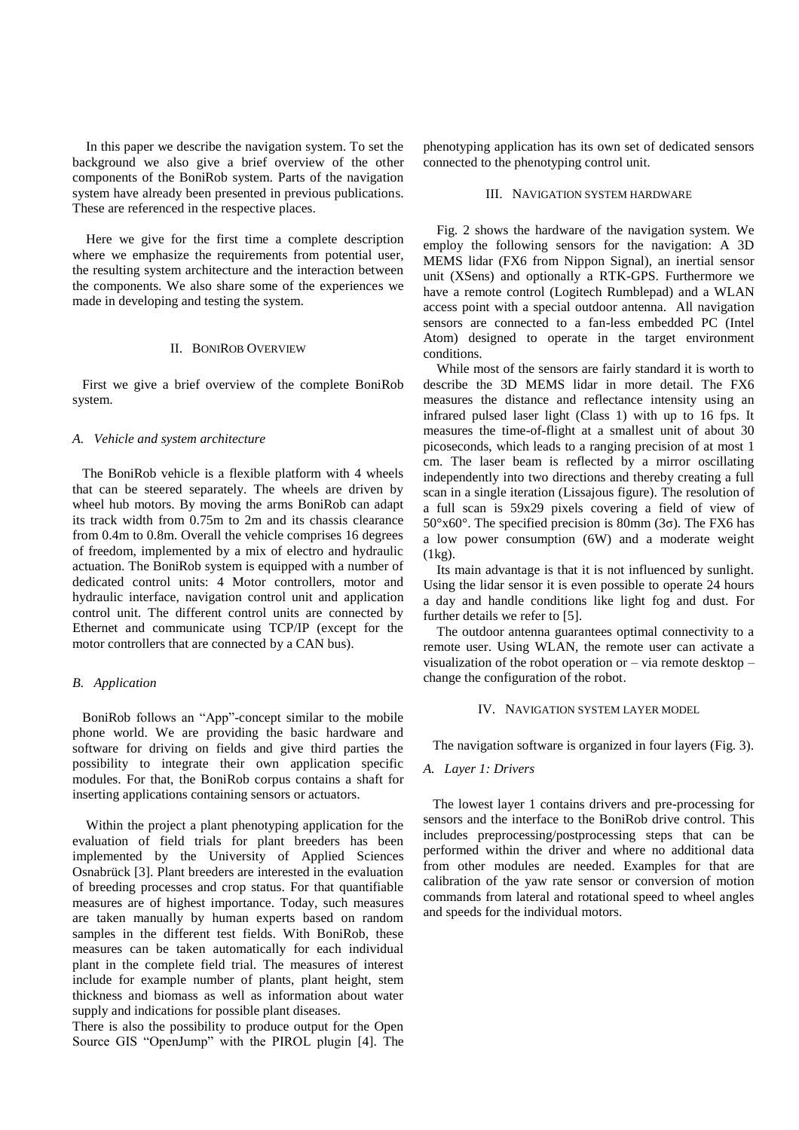In this paper we describe the navigation system. To set the background we also give a brief overview of the other components of the BoniRob system. Parts of the navigation system have already been presented in previous publications. These are referenced in the respective places.

Here we give for the first time a complete description where we emphasize the requirements from potential user, the resulting system architecture and the interaction between the components. We also share some of the experiences we made in developing and testing the system.

## II. BONIROB OVERVIEW

First we give a brief overview of the complete BoniRob system.

### *A. Vehicle and system architecture*

The BoniRob vehicle is a flexible platform with 4 wheels that can be steered separately. The wheels are driven by wheel hub motors. By moving the arms BoniRob can adapt its track width from 0.75m to 2m and its chassis clearance from 0.4m to 0.8m. Overall the vehicle comprises 16 degrees of freedom, implemented by a mix of electro and hydraulic actuation. The BoniRob system is equipped with a number of dedicated control units: 4 Motor controllers, motor and hydraulic interface, navigation control unit and application control unit. The different control units are connected by Ethernet and communicate using TCP/IP (except for the motor controllers that are connected by a CAN bus).

# *B. Application*

BoniRob follows an "App"-concept similar to the mobile phone world. We are providing the basic hardware and software for driving on fields and give third parties the possibility to integrate their own application specific modules. For that, the BoniRob corpus contains a shaft for inserting applications containing sensors or actuators.

Within the project a plant phenotyping application for the evaluation of field trials for plant breeders has been implemented by the University of Applied Sciences Osnabrück [\[3\].](#page-6-2) Plant breeders are interested in the evaluation of breeding processes and crop status. For that quantifiable measures are of highest importance. Today, such measures are taken manually by human experts based on random samples in the different test fields. With BoniRob, these measures can be taken automatically for each individual plant in the complete field trial. The measures of interest include for example number of plants, plant height, stem thickness and biomass as well as information about water supply and indications for possible plant diseases.

There is also the possibility to produce output for the Open Source GIS "OpenJump" with the PIROL plugin [\[4\].](#page-6-3) The

phenotyping application has its own set of dedicated sensors connected to the phenotyping control unit.

#### III. NAVIGATION SYSTEM HARDWARE

Fig. 2 shows the hardware of the navigation system. We employ the following sensors for the navigation: A 3D MEMS lidar (FX6 from Nippon Signal), an inertial sensor unit (XSens) and optionally a RTK-GPS. Furthermore we have a remote control (Logitech Rumblepad) and a WLAN access point with a special outdoor antenna. All navigation sensors are connected to a fan-less embedded PC (Intel Atom) designed to operate in the target environment conditions.

While most of the sensors are fairly standard it is worth to describe the 3D MEMS lidar in more detail. The FX6 measures the distance and reflectance intensity using an infrared pulsed laser light (Class 1) with up to 16 fps. It measures the time-of-flight at a smallest unit of about 30 picoseconds, which leads to a ranging precision of at most 1 cm. The laser beam is reflected by a mirror oscillating independently into two directions and thereby creating a full scan in a single iteration (Lissajous figure). The resolution of a full scan is 59x29 pixels covering a field of view of  $50^{\circ}x60^{\circ}$ . The specified precision is 80mm (3 $\sigma$ ). The FX6 has a low power consumption (6W) and a moderate weight  $(1kg)$ .

Its main advantage is that it is not influenced by sunlight. Using the lidar sensor it is even possible to operate 24 hours a day and handle conditions like light fog and dust. For further details we refer to [\[5\].](#page-6-4)

The outdoor antenna guarantees optimal connectivity to a remote user. Using WLAN, the remote user can activate a visualization of the robot operation or – via remote desktop – change the configuration of the robot.

# IV. NAVIGATION SYSTEM LAYER MODEL

The navigation software is organized in four layers (Fig. 3).

# *A. Layer 1: Drivers*

The lowest layer 1 contains drivers and pre-processing for sensors and the interface to the BoniRob drive control. This includes preprocessing/postprocessing steps that can be performed within the driver and where no additional data from other modules are needed. Examples for that are calibration of the yaw rate sensor or conversion of motion commands from lateral and rotational speed to wheel angles and speeds for the individual motors.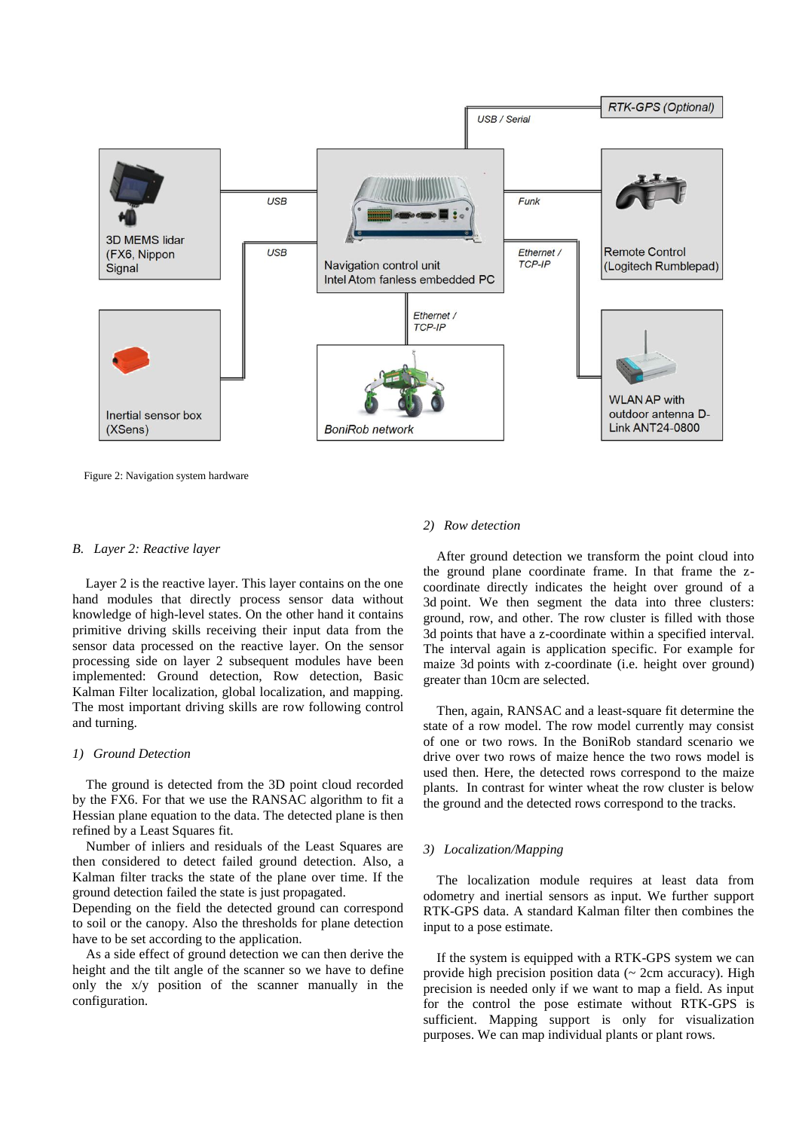

Figure 2: Navigation system hardware

#### *B. Layer 2: Reactive layer*

Layer 2 is the reactive layer. This layer contains on the one hand modules that directly process sensor data without knowledge of high-level states. On the other hand it contains primitive driving skills receiving their input data from the sensor data processed on the reactive layer. On the sensor processing side on layer 2 subsequent modules have been implemented: Ground detection, Row detection, Basic Kalman Filter localization, global localization, and mapping. The most important driving skills are row following control and turning.

#### *1) Ground Detection*

The ground is detected from the 3D point cloud recorded by the FX6. For that we use the RANSAC algorithm to fit a Hessian plane equation to the data. The detected plane is then refined by a Least Squares fit.

Number of inliers and residuals of the Least Squares are then considered to detect failed ground detection. Also, a Kalman filter tracks the state of the plane over time. If the ground detection failed the state is just propagated.

Depending on the field the detected ground can correspond to soil or the canopy. Also the thresholds for plane detection have to be set according to the application.

As a side effect of ground detection we can then derive the height and the tilt angle of the scanner so we have to define only the x/y position of the scanner manually in the configuration.

## *2) Row detection*

After ground detection we transform the point cloud into the ground plane coordinate frame. In that frame the zcoordinate directly indicates the height over ground of a 3d point. We then segment the data into three clusters: ground, row, and other. The row cluster is filled with those 3d points that have a z-coordinate within a specified interval. The interval again is application specific. For example for maize 3d points with z-coordinate (i.e. height over ground) greater than 10cm are selected.

Then, again, RANSAC and a least-square fit determine the state of a row model. The row model currently may consist of one or two rows. In the BoniRob standard scenario we drive over two rows of maize hence the two rows model is used then. Here, the detected rows correspond to the maize plants. In contrast for winter wheat the row cluster is below the ground and the detected rows correspond to the tracks.

## *3) Localization/Mapping*

The localization module requires at least data from odometry and inertial sensors as input. We further support RTK-GPS data. A standard Kalman filter then combines the input to a pose estimate.

If the system is equipped with a RTK-GPS system we can provide high precision position data (~ 2cm accuracy). High precision is needed only if we want to map a field. As input for the control the pose estimate without RTK-GPS is sufficient. Mapping support is only for visualization purposes. We can map individual plants or plant rows.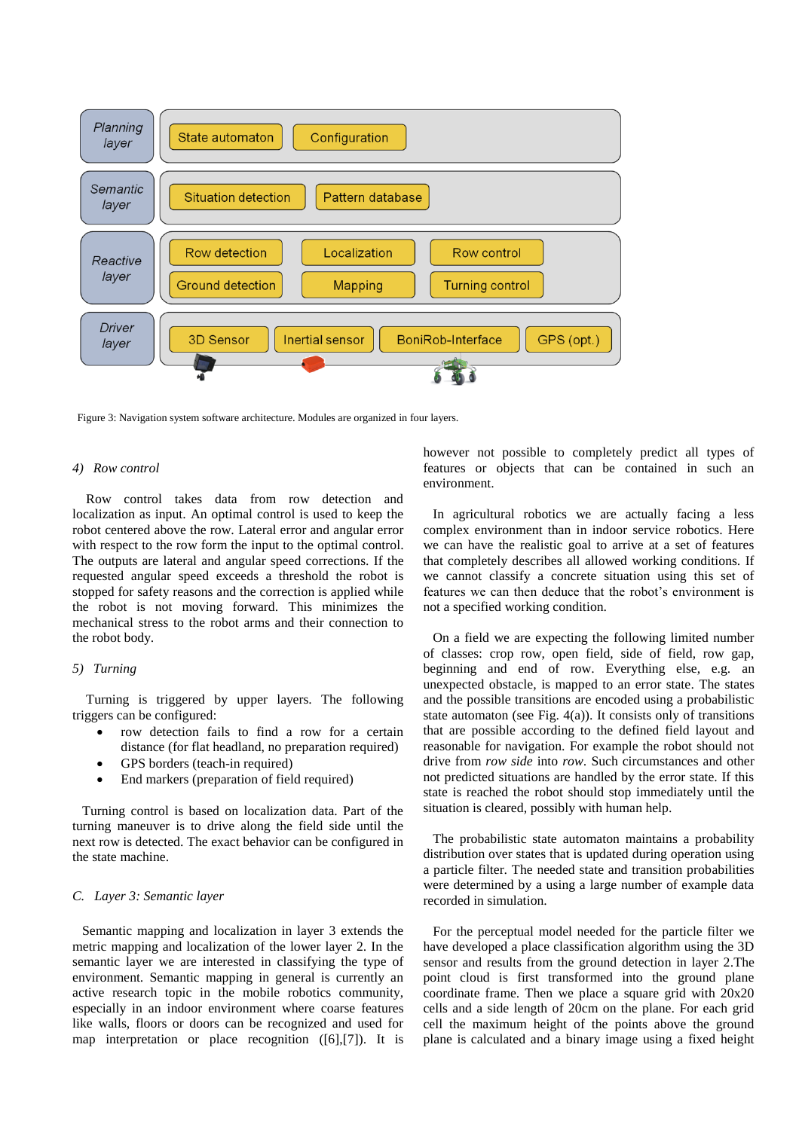

Figure 3: Navigation system software architecture. Modules are organized in four layers.

## *4) Row control*

Row control takes data from row detection and localization as input. An optimal control is used to keep the robot centered above the row. Lateral error and angular error with respect to the row form the input to the optimal control. The outputs are lateral and angular speed corrections. If the requested angular speed exceeds a threshold the robot is stopped for safety reasons and the correction is applied while the robot is not moving forward. This minimizes the mechanical stress to the robot arms and their connection to the robot body.

## *5) Turning*

Turning is triggered by upper layers. The following triggers can be configured:

- row detection fails to find a row for a certain distance (for flat headland, no preparation required)
- GPS borders (teach-in required)
- End markers (preparation of field required)

Turning control is based on localization data. Part of the turning maneuver is to drive along the field side until the next row is detected. The exact behavior can be configured in the state machine.

## *C. Layer 3: Semantic layer*

Semantic mapping and localization in layer 3 extends the metric mapping and localization of the lower layer 2. In the semantic layer we are interested in classifying the type of environment. Semantic mapping in general is currently an active research topic in the mobile robotics community, especially in an indoor environment where coarse features like walls, floors or doors can be recognized and used for map interpretation or place recognition [\(\[6\]](#page-6-5)[,\[7\]\)](#page-6-6). It is however not possible to completely predict all types of features or objects that can be contained in such an environment.

In agricultural robotics we are actually facing a less complex environment than in indoor service robotics. Here we can have the realistic goal to arrive at a set of features that completely describes all allowed working conditions. If we cannot classify a concrete situation using this set of features we can then deduce that the robot's environment is not a specified working condition.

On a field we are expecting the following limited number of classes: crop row, open field, side of field, row gap, beginning and end of row. Everything else, e.g. an unexpected obstacle, is mapped to an error state. The states and the possible transitions are encoded using a probabilistic state automaton (see Fig.  $4(a)$ ). It consists only of transitions that are possible according to the defined field layout and reasonable for navigation. For example the robot should not drive from *row side* into *row*. Such circumstances and other not predicted situations are handled by the error state. If this state is reached the robot should stop immediately until the situation is cleared, possibly with human help.

The probabilistic state automaton maintains a probability distribution over states that is updated during operation using a particle filter. The needed state and transition probabilities were determined by a using a large number of example data recorded in simulation.

For the perceptual model needed for the particle filter we have developed a place classification algorithm using the 3D sensor and results from the ground detection in layer 2.The point cloud is first transformed into the ground plane coordinate frame. Then we place a square grid with 20x20 cells and a side length of 20cm on the plane. For each grid cell the maximum height of the points above the ground plane is calculated and a binary image using a fixed height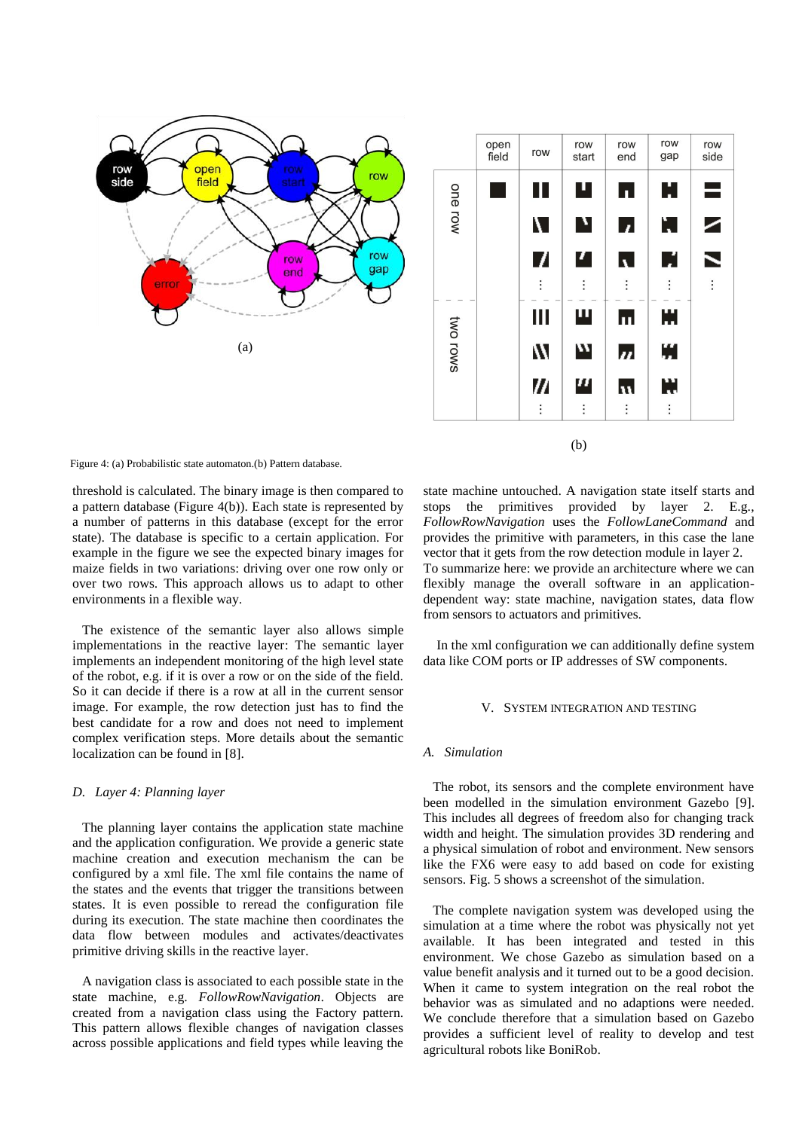



<span id="page-4-0"></span>Figure 4: (a) Probabilistic state automaton.(b) Pattern database.

threshold is calculated. The binary image is then compared to a pattern database [\(Figure 4](#page-4-0)(b)). Each state is represented by a number of patterns in this database (except for the error state). The database is specific to a certain application. For example in the figure we see the expected binary images for maize fields in two variations: driving over one row only or over two rows. This approach allows us to adapt to other environments in a flexible way.

The existence of the semantic layer also allows simple implementations in the reactive layer: The semantic layer implements an independent monitoring of the high level state of the robot, e.g. if it is over a row or on the side of the field. So it can decide if there is a row at all in the current sensor image. For example, the row detection just has to find the best candidate for a row and does not need to implement complex verification steps. More details about the semantic localization can be found in [\[8\].](#page-6-7)

## *D. Layer 4: Planning layer*

The planning layer contains the application state machine and the application configuration. We provide a generic state machine creation and execution mechanism the can be configured by a xml file. The xml file contains the name of the states and the events that trigger the transitions between states. It is even possible to reread the configuration file during its execution. The state machine then coordinates the data flow between modules and activates/deactivates primitive driving skills in the reactive layer.

A navigation class is associated to each possible state in the state machine, e.g. *FollowRowNavigation*. Objects are created from a navigation class using the Factory pattern. This pattern allows flexible changes of navigation classes across possible applications and field types while leaving the

state machine untouched. A navigation state itself starts and stops the primitives provided by layer 2. E.g., *FollowRowNavigation* uses the *FollowLaneCommand* and provides the primitive with parameters, in this case the lane vector that it gets from the row detection module in layer 2. To summarize here: we provide an architecture where we can flexibly manage the overall software in an applicationdependent way: state machine, navigation states, data flow from sensors to actuators and primitives.

In the xml configuration we can additionally define system data like COM ports or IP addresses of SW components.

#### V. SYSTEM INTEGRATION AND TESTING

#### *A. Simulation*

The robot, its sensors and the complete environment have been modelled in the simulation environment Gazebo [\[9\].](#page-6-8) This includes all degrees of freedom also for changing track width and height. The simulation provides 3D rendering and a physical simulation of robot and environment. New sensors like the FX6 were easy to add based on code for existing sensors. Fig. 5 shows a screenshot of the simulation.

The complete navigation system was developed using the simulation at a time where the robot was physically not yet available. It has been integrated and tested in this environment. We chose Gazebo as simulation based on a value benefit analysis and it turned out to be a good decision. When it came to system integration on the real robot the behavior was as simulated and no adaptions were needed. We conclude therefore that a simulation based on Gazebo provides a sufficient level of reality to develop and test agricultural robots like BoniRob.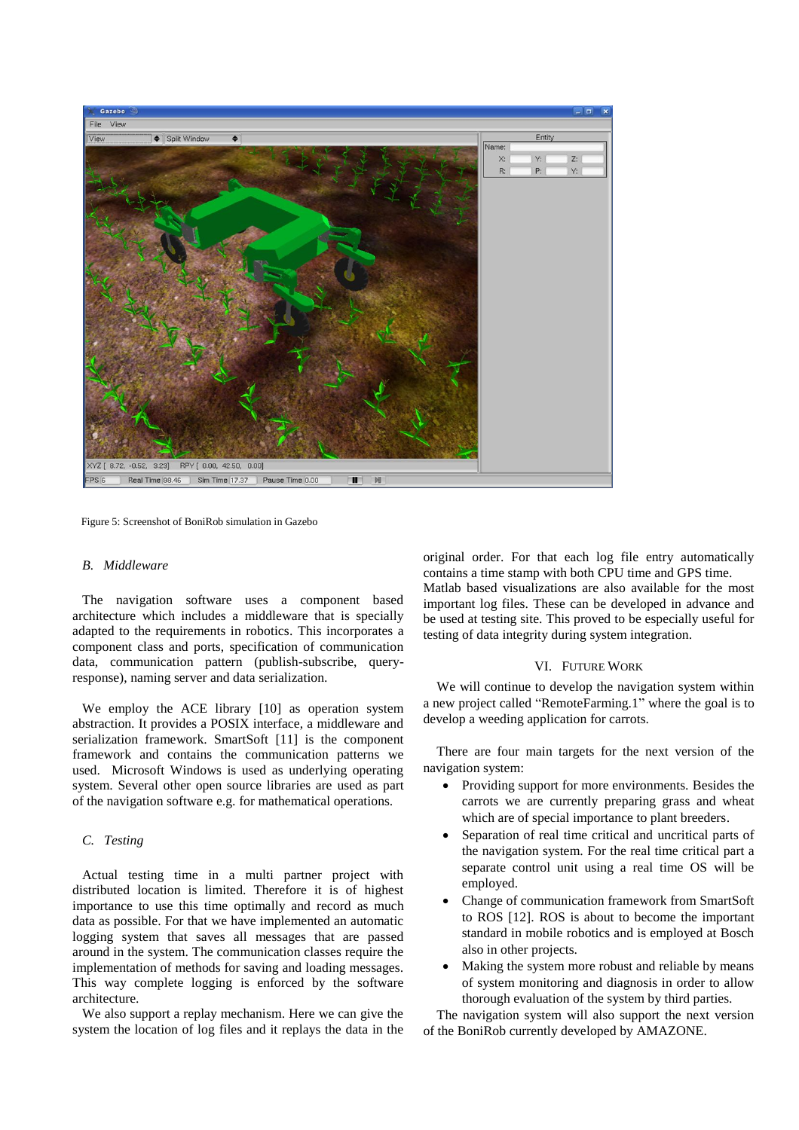

Figure 5: Screenshot of BoniRob simulation in Gazebo

# *B. Middleware*

The navigation software uses a component based architecture which includes a middleware that is specially adapted to the requirements in robotics. This incorporates a component class and ports, specification of communication data, communication pattern (publish-subscribe, queryresponse), naming server and data serialization.

We employ the ACE library [\[10\]](#page-6-9) as operation system abstraction. It provides a POSIX interface, a middleware and serialization framework. SmartSoft [\[11\]](#page-6-10) is the component framework and contains the communication patterns we used. Microsoft Windows is used as underlying operating system. Several other open source libraries are used as part of the navigation software e.g. for mathematical operations.

# *C. Testing*

Actual testing time in a multi partner project with distributed location is limited. Therefore it is of highest importance to use this time optimally and record as much data as possible. For that we have implemented an automatic logging system that saves all messages that are passed around in the system. The communication classes require the implementation of methods for saving and loading messages. This way complete logging is enforced by the software architecture.

We also support a replay mechanism. Here we can give the system the location of log files and it replays the data in the original order. For that each log file entry automatically contains a time stamp with both CPU time and GPS time. Matlab based visualizations are also available for the most important log files. These can be developed in advance and be used at testing site. This proved to be especially useful for testing of data integrity during system integration.

#### VI. FUTURE WORK

We will continue to develop the navigation system within a new project called "RemoteFarming.1" where the goal is to develop a weeding application for carrots.

There are four main targets for the next version of the navigation system:

- Providing support for more environments. Besides the carrots we are currently preparing grass and wheat which are of special importance to plant breeders.
- Separation of real time critical and uncritical parts of the navigation system. For the real time critical part a separate control unit using a real time OS will be employed.
- Change of communication framework from SmartSoft to ROS [\[12\].](#page-6-11) ROS is about to become the important standard in mobile robotics and is employed at Bosch also in other projects.
- Making the system more robust and reliable by means of system monitoring and diagnosis in order to allow thorough evaluation of the system by third parties.

The navigation system will also support the next version of the BoniRob currently developed by AMAZONE.